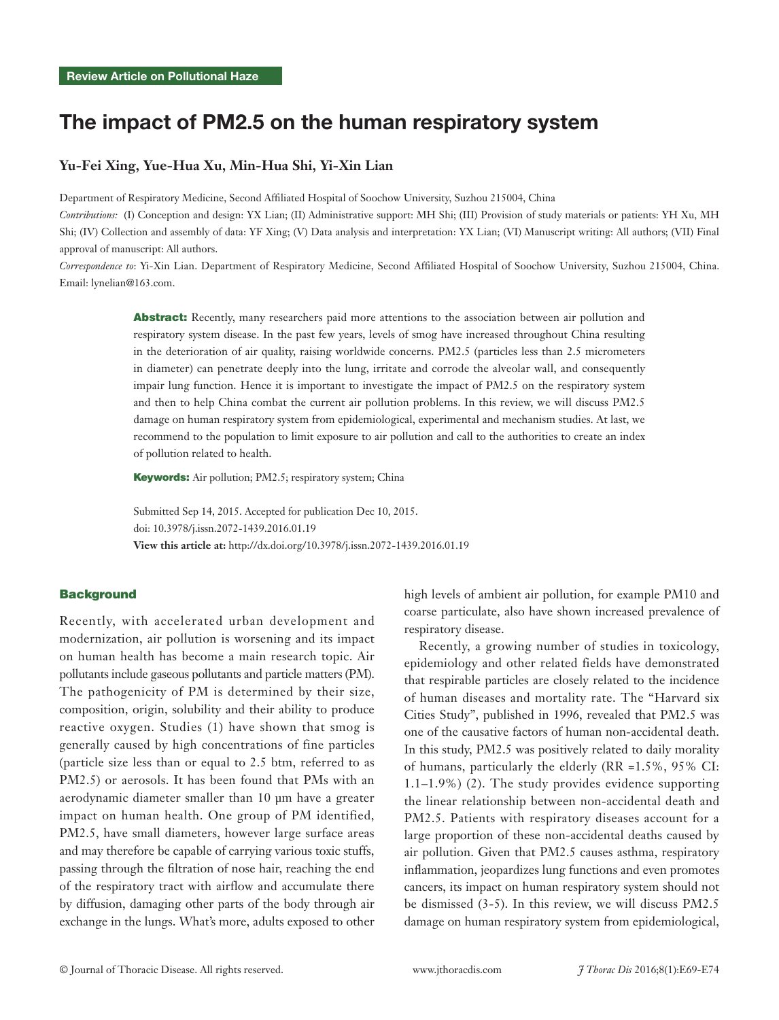# The impact of PM2.5 on the human respiratory system

### **Yu-Fei Xing, Yue-Hua Xu, Min-Hua Shi, Yi-Xin Lian**

Department of Respiratory Medicine, Second Affiliated Hospital of Soochow University, Suzhou 215004, China

*Contributions:* (I) Conception and design: YX Lian; (II) Administrative support: MH Shi; (III) Provision of study materials or patients: YH Xu, MH Shi; (IV) Collection and assembly of data: YF Xing; (V) Data analysis and interpretation: YX Lian; (VI) Manuscript writing: All authors; (VII) Final approval of manuscript: All authors.

*Correspondence to*: Yi-Xin Lian. Department of Respiratory Medicine, Second Affiliated Hospital of Soochow University, Suzhou 215004, China. Email: lynelian@163.com.

> Abstract: Recently, many researchers paid more attentions to the association between air pollution and respiratory system disease. In the past few years, levels of smog have increased throughout China resulting in the deterioration of air quality, raising worldwide concerns. PM2.5 (particles less than 2.5 micrometers in diameter) can penetrate deeply into the lung, irritate and corrode the alveolar wall, and consequently impair lung function. Hence it is important to investigate the impact of PM2.5 on the respiratory system and then to help China combat the current air pollution problems. In this review, we will discuss PM2.5 damage on human respiratory system from epidemiological, experimental and mechanism studies. At last, we recommend to the population to limit exposure to air pollution and call to the authorities to create an index of pollution related to health.

Keywords: Air pollution; PM2.5; respiratory system; China

Submitted Sep 14, 2015. Accepted for publication Dec 10, 2015. doi: 10.3978/j.issn.2072-1439.2016.01.19 **View this article at:** http://dx.doi.org/10.3978/j.issn.2072-1439.2016.01.19

#### **Background**

Recently, with accelerated urban development and modernization, air pollution is worsening and its impact on human health has become a main research topic. Air pollutants include gaseous pollutants and particle matters (PM). The pathogenicity of PM is determined by their size, composition, origin, solubility and their ability to produce reactive oxygen. Studies (1) have shown that smog is generally caused by high concentrations of fine particles (particle size less than or equal to 2.5 btm, referred to as PM2.5) or aerosols. It has been found that PMs with an aerodynamic diameter smaller than 10 µm have a greater impact on human health. One group of PM identified, PM2.5, have small diameters, however large surface areas and may therefore be capable of carrying various toxic stuffs, passing through the filtration of nose hair, reaching the end of the respiratory tract with airflow and accumulate there by diffusion, damaging other parts of the body through air exchange in the lungs. What's more, adults exposed to other

high levels of ambient air pollution, for example PM10 and coarse particulate, also have shown increased prevalence of respiratory disease.

Recently, a growing number of studies in toxicology, epidemiology and other related fields have demonstrated that respirable particles are closely related to the incidence of human diseases and mortality rate. The "Harvard six Cities Study", published in 1996, revealed that PM2.5 was one of the causative factors of human non-accidental death. In this study, PM2.5 was positively related to daily morality of humans, particularly the elderly (RR =1.5%, 95% CI: 1.1–1.9%) (2). The study provides evidence supporting the linear relationship between non-accidental death and PM2.5. Patients with respiratory diseases account for a large proportion of these non-accidental deaths caused by air pollution. Given that PM2.5 causes asthma, respiratory inflammation, jeopardizes lung functions and even promotes cancers, its impact on human respiratory system should not be dismissed (3-5). In this review, we will discuss PM2.5 damage on human respiratory system from epidemiological,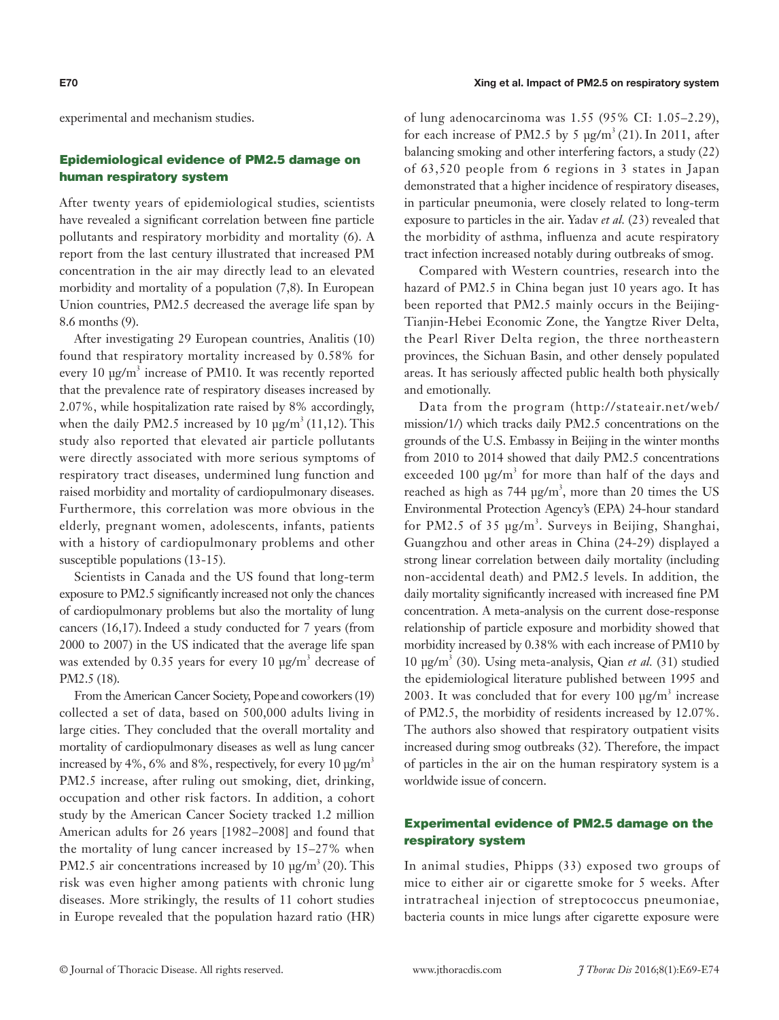experimental and mechanism studies.

## Epidemiological evidence of PM2.5 damage on human respiratory system

After twenty years of epidemiological studies, scientists have revealed a significant correlation between fine particle pollutants and respiratory morbidity and mortality (6). A report from the last century illustrated that increased PM concentration in the air may directly lead to an elevated morbidity and mortality of a population (7,8). In European Union countries, PM2.5 decreased the average life span by 8.6 months (9).

After investigating 29 European countries, Analitis (10) found that respiratory mortality increased by 0.58% for every 10 µg/m<sup>3</sup> increase of PM10. It was recently reported that the prevalence rate of respiratory diseases increased by 2.07%, while hospitalization rate raised by 8% accordingly, when the daily PM2.5 increased by 10  $\mu$ g/m<sup>3</sup> (11,12). This study also reported that elevated air particle pollutants were directly associated with more serious symptoms of respiratory tract diseases, undermined lung function and raised morbidity and mortality of cardiopulmonary diseases. Furthermore, this correlation was more obvious in the elderly, pregnant women, adolescents, infants, patients with a history of cardiopulmonary problems and other susceptible populations (13-15).

Scientists in Canada and the US found that long-term exposure to PM2.5 significantly increased not only the chances of cardiopulmonary problems but also the mortality of lung cancers (16,17). Indeed a study conducted for 7 years (from 2000 to 2007) in the US indicated that the average life span was extended by 0.35 years for every 10  $\mu$ g/m<sup>3</sup> decrease of PM2.5 (18).

From the American Cancer Society, Popeand coworkers (19) collected a set of data, based on 500,000 adults living in large cities. They concluded that the overall mortality and mortality of cardiopulmonary diseases as well as lung cancer increased by 4%, 6% and 8%, respectively, for every 10  $\mu$ g/m<sup>3</sup> PM2.5 increase, after ruling out smoking, diet, drinking, occupation and other risk factors. In addition, a cohort study by the American Cancer Society tracked 1.2 million American adults for 26 years [1982–2008] and found that the mortality of lung cancer increased by 15–27% when PM2.5 air concentrations increased by 10  $\mu$ g/m<sup>3</sup> (20). This risk was even higher among patients with chronic lung diseases. More strikingly, the results of 11 cohort studies in Europe revealed that the population hazard ratio (HR) of lung adenocarcinoma was 1.55 (95% CI: 1.05–2.29), for each increase of PM2.5 by 5  $\mu$ g/m<sup>3</sup> (21). In 2011, after balancing smoking and other interfering factors, a study (22) of 63,520 people from 6 regions in 3 states in Japan demonstrated that a higher incidence of respiratory diseases, in particular pneumonia, were closely related to long-term exposure to particles in the air. Yadav *et al.* (23) revealed that the morbidity of asthma, influenza and acute respiratory tract infection increased notably during outbreaks of smog.

Compared with Western countries, research into the hazard of PM2.5 in China began just 10 years ago. It has been reported that PM2.5 mainly occurs in the Beijing-Tianjin-Hebei Economic Zone, the Yangtze River Delta, the Pearl River Delta region, the three northeastern provinces, the Sichuan Basin, and other densely populated areas. It has seriously affected public health both physically and emotionally.

Data from the program (http://stateair.net/web/ mission/1/) which tracks daily PM2.5 concentrations on the grounds of the U.S. Embassy in Beijing in the winter months from 2010 to 2014 showed that daily PM2.5 concentrations exceeded 100  $\mu$ g/m<sup>3</sup> for more than half of the days and reached as high as  $744 \text{ pg/m}^3$ , more than 20 times the US Environmental Protection Agency's (EPA) 24-hour standard for PM2.5 of 35  $\mu$ g/m<sup>3</sup>. Surveys in Beijing, Shanghai, Guangzhou and other areas in China (24-29) displayed a strong linear correlation between daily mortality (including non-accidental death) and PM2.5 levels. In addition, the daily mortality significantly increased with increased fine PM concentration. A meta-analysis on the current dose-response relationship of particle exposure and morbidity showed that morbidity increased by 0.38% with each increase of PM10 by 10 µg/m3 (30). Using meta-analysis, Qian *et al.* (31) studied the epidemiological literature published between 1995 and 2003. It was concluded that for every  $100 \text{ µg/m}^3$  increase of PM2.5, the morbidity of residents increased by 12.07%. The authors also showed that respiratory outpatient visits increased during smog outbreaks (32). Therefore, the impact of particles in the air on the human respiratory system is a worldwide issue of concern.

# Experimental evidence of PM2.5 damage on the respiratory system

In animal studies, Phipps (33) exposed two groups of mice to either air or cigarette smoke for 5 weeks. After intratracheal injection of streptococcus pneumoniae, bacteria counts in mice lungs after cigarette exposure were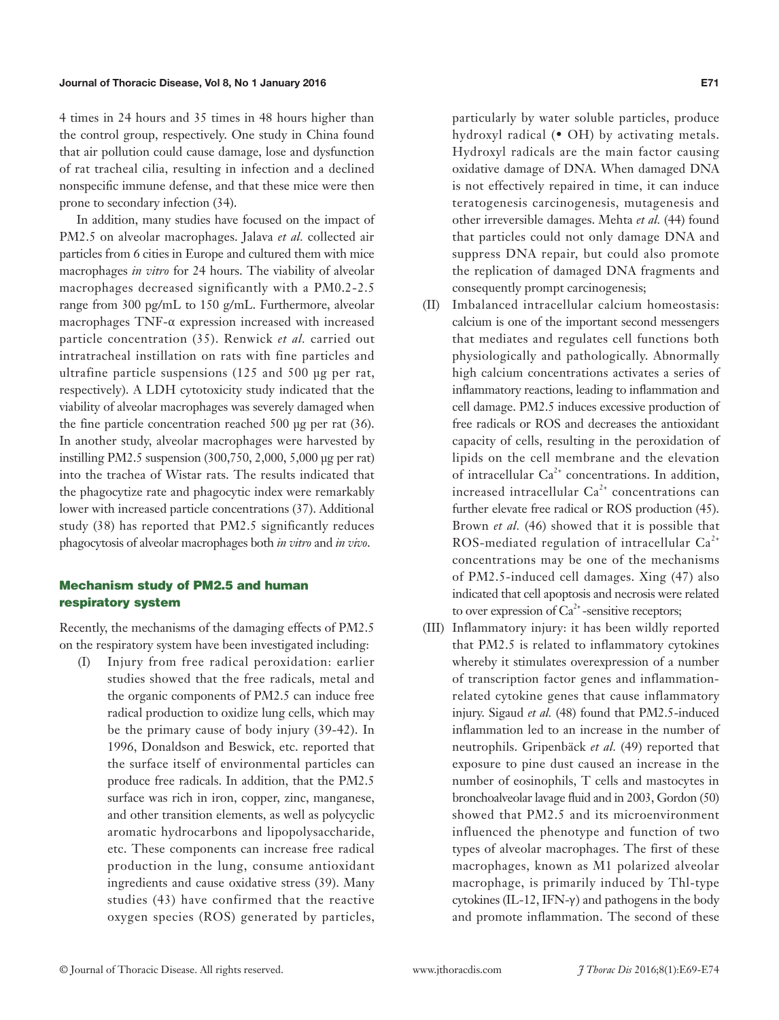#### Journal of Thoracic Disease, Vol 8, No 1 January 2016 **EXALL 2018** E71

4 times in 24 hours and 35 times in 48 hours higher than the control group, respectively. One study in China found that air pollution could cause damage, lose and dysfunction of rat tracheal cilia, resulting in infection and a declined nonspecific immune defense, and that these mice were then prone to secondary infection (34).

In addition, many studies have focused on the impact of PM2.5 on alveolar macrophages. Jalava *et al.* collected air particles from 6 cities in Europe and cultured them with mice macrophages *in vitro* for 24 hours. The viability of alveolar macrophages decreased significantly with a PM0.2-2.5 range from 300 pg/mL to 150 g/mL. Furthermore, alveolar macrophages TNF-α expression increased with increased particle concentration (35). Renwick *et al.* carried out intratracheal instillation on rats with fine particles and ultrafine particle suspensions (125 and 500 µg per rat, respectively). A LDH cytotoxicity study indicated that the viability of alveolar macrophages was severely damaged when the fine particle concentration reached 500 µg per rat (36). In another study, alveolar macrophages were harvested by instilling PM2.5 suspension (300,750, 2,000, 5,000 µg per rat) into the trachea of Wistar rats. The results indicated that the phagocytize rate and phagocytic index were remarkably lower with increased particle concentrations (37). Additional study (38) has reported that PM2.5 significantly reduces phagocytosis of alveolar macrophages both *in vitro* and *in vivo*.

# Mechanism study of PM2.5 and human respiratory system

Recently, the mechanisms of the damaging effects of PM2.5 on the respiratory system have been investigated including:

(I) Injury from free radical peroxidation: earlier studies showed that the free radicals, metal and the organic components of PM2.5 can induce free radical production to oxidize lung cells, which may be the primary cause of body injury (39-42). In 1996, Donaldson and Beswick, etc. reported that the surface itself of environmental particles can produce free radicals. In addition, that the PM2.5 surface was rich in iron, copper, zinc, manganese, and other transition elements, as well as polycyclic aromatic hydrocarbons and lipopolysaccharide, etc. These components can increase free radical production in the lung, consume antioxidant ingredients and cause oxidative stress (39). Many studies (43) have confirmed that the reactive oxygen species (ROS) generated by particles, particularly by water soluble particles, produce hydroxyl radical (• OH) by activating metals. Hydroxyl radicals are the main factor causing oxidative damage of DNA. When damaged DNA is not effectively repaired in time, it can induce teratogenesis carcinogenesis, mutagenesis and other irreversible damages. Mehta *et al.* (44) found that particles could not only damage DNA and suppress DNA repair, but could also promote the replication of damaged DNA fragments and consequently prompt carcinogenesis;

- (II) Imbalanced intracellular calcium homeostasis: calcium is one of the important second messengers that mediates and regulates cell functions both physiologically and pathologically. Abnormally high calcium concentrations activates a series of inflammatory reactions, leading to inflammation and cell damage. PM2.5 induces excessive production of free radicals or ROS and decreases the antioxidant capacity of cells, resulting in the peroxidation of lipids on the cell membrane and the elevation of intracellular  $Ca^{2+}$  concentrations. In addition, increased intracellular  $Ca<sup>2+</sup>$  concentrations can further elevate free radical or ROS production (45). Brown *et al.* (46) showed that it is possible that ROS-mediated regulation of intracellular  $Ca<sup>2+</sup>$ concentrations may be one of the mechanisms of PM2.5-induced cell damages. Xing (47) also indicated that cell apoptosis and necrosis were related to over expression of  $Ca^{2+}$ -sensitive receptors;
- (III) Inflammatory injury: it has been wildly reported that PM2.5 is related to inflammatory cytokines whereby it stimulates overexpression of a number of transcription factor genes and inflammationrelated cytokine genes that cause inflammatory injury. Sigaud *et al.* (48) found that PM2.5-induced inflammation led to an increase in the number of neutrophils. Gripenbäck *et al.* (49) reported that exposure to pine dust caused an increase in the number of eosinophils, T cells and mastocytes in bronchoalveolar lavage fluid and in 2003, Gordon (50) showed that PM2.5 and its microenvironment influenced the phenotype and function of two types of alveolar macrophages. The first of these macrophages, known as M1 polarized alveolar macrophage, is primarily induced by Thl-type cytokines (IL-12, IFN- $\gamma$ ) and pathogens in the body and promote inflammation. The second of these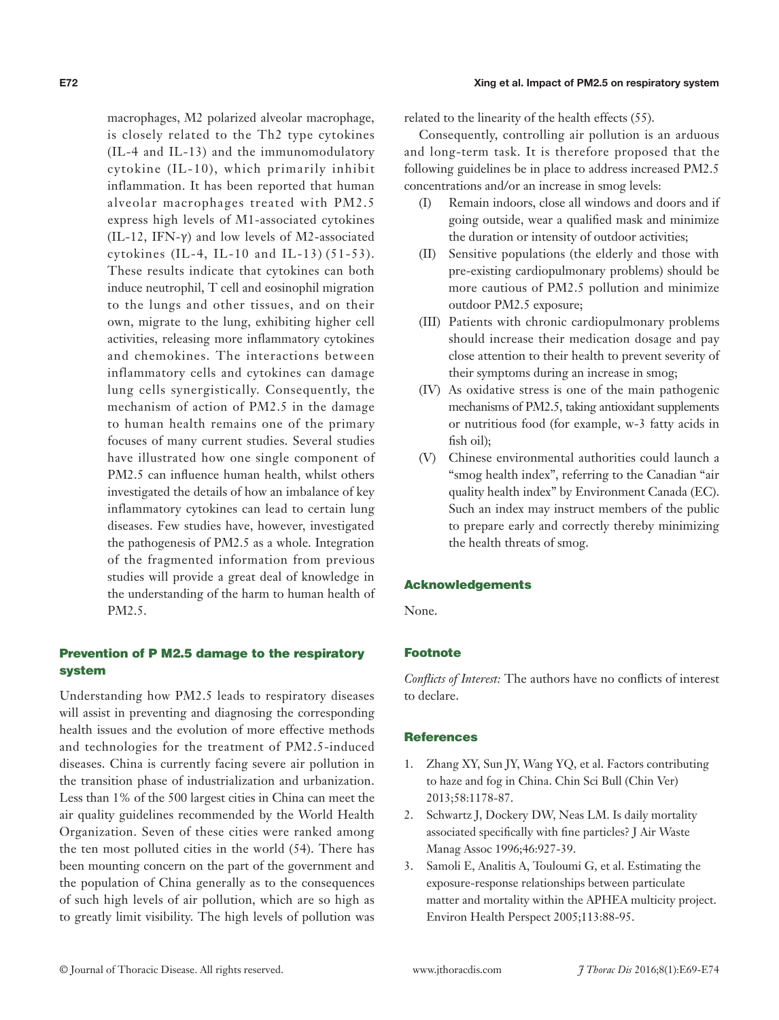macrophages, M2 polarized alveolar macrophage, is closely related to the Th2 type cytokines (IL-4 and IL-13) and the immunomodulatory cytokine (IL-10), which primarily inhibit inflammation. It has been reported that human alveolar macrophages treated with PM2.5 express high levels of M1-associated cytokines (IL-12, IFN- $\gamma$ ) and low levels of M2-associated cytokines (IL-4, IL-10 and IL-13) (51-53). These results indicate that cytokines can both induce neutrophil, T cell and eosinophil migration to the lungs and other tissues, and on their own, migrate to the lung, exhibiting higher cell activities, releasing more inflammatory cytokines and chemokines. The interactions between inflammatory cells and cytokines can damage lung cells synergistically. Consequently, the mechanism of action of PM2.5 in the damage to human health remains one of the primary focuses of many current studies. Several studies have illustrated how one single component of PM2.5 can influence human health, whilst others investigated the details of how an imbalance of key inflammatory cytokines can lead to certain lung diseases. Few studies have, however, investigated the pathogenesis of PM2.5 as a whole. Integration of the fragmented information from previous studies will provide a great deal of knowledge in the understanding of the harm to human health of PM2.5.

# Prevention of P M2.5 damage to the respiratory system

Understanding how PM2.5 leads to respiratory diseases will assist in preventing and diagnosing the corresponding health issues and the evolution of more effective methods and technologies for the treatment of PM2.5-induced diseases. China is currently facing severe air pollution in the transition phase of industrialization and urbanization. Less than 1% of the 500 largest cities in China can meet the air quality guidelines recommended by the World Health Organization. Seven of these cities were ranked among the ten most polluted cities in the world (54). There has been mounting concern on the part of the government and the population of China generally as to the consequences of such high levels of air pollution, which are so high as to greatly limit visibility. The high levels of pollution was

#### E72 Xing et al. Impact of PM2.5 on respiratory system

related to the linearity of the health effects (55).

Consequently, controlling air pollution is an arduous and long-term task. It is therefore proposed that the following guidelines be in place to address increased PM2.5 concentrations and/or an increase in smog levels:

- (I) Remain indoors, close all windows and doors and if going outside, wear a qualified mask and minimize the duration or intensity of outdoor activities;
- (II) Sensitive populations (the elderly and those with pre-existing cardiopulmonary problems) should be more cautious of PM2.5 pollution and minimize outdoor PM2.5 exposure;
- (III) Patients with chronic cardiopulmonary problems should increase their medication dosage and pay close attention to their health to prevent severity of their symptoms during an increase in smog;
- (IV) As oxidative stress is one of the main pathogenic mechanisms of PM2.5, taking antioxidant supplements or nutritious food (for example, w-3 fatty acids in fish oil);
- (V) Chinese environmental authorities could launch a "smog health index", referring to the Canadian "air quality health index" by Environment Canada (EC). Such an index may instruct members of the public to prepare early and correctly thereby minimizing the health threats of smog.

### Acknowledgements

None.

### Footnote

*Conflicts of Interest:* The authors have no conflicts of interest to declare.

### **References**

- 1. Zhang XY, Sun JY, Wang YQ, et al. Factors contributing to haze and fog in China. Chin Sci Bull (Chin Ver) 2013;58:1178-87.
- 2. Schwartz J, Dockery DW, Neas LM. Is daily mortality associated specifically with fine particles? J Air Waste Manag Assoc 1996;46:927-39.
- 3. Samoli E, Analitis A, Touloumi G, et al. Estimating the exposure-response relationships between particulate matter and mortality within the APHEA multicity project. Environ Health Perspect 2005;113:88-95.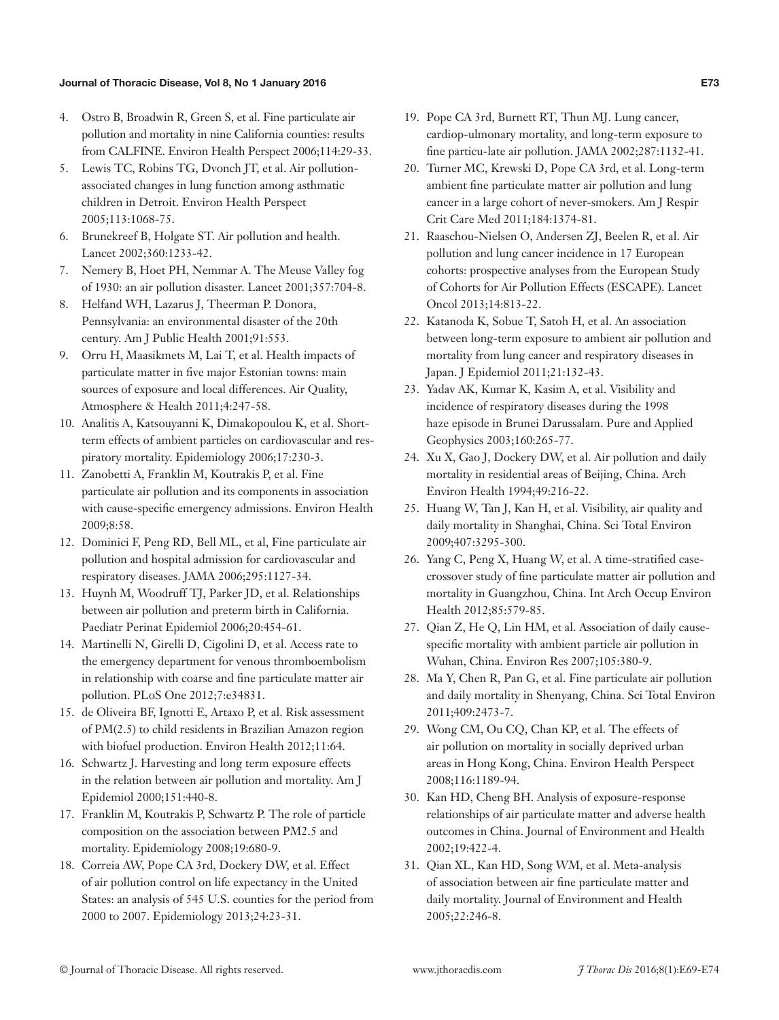### Journal of Thoracic Disease, Vol 8, No 1 January 2016 E73

- 4. Ostro B, Broadwin R, Green S, et al. Fine particulate air pollution and mortality in nine California counties: results from CALFINE. Environ Health Perspect 2006;114:29-33.
- 5. Lewis TC, Robins TG, Dvonch JT, et al. Air pollutionassociated changes in lung function among asthmatic children in Detroit. Environ Health Perspect 2005;113:1068-75.
- 6. Brunekreef B, Holgate ST. Air pollution and health. Lancet 2002;360:1233-42.
- 7. Nemery B, Hoet PH, Nemmar A. The Meuse Valley fog of 1930: an air pollution disaster. Lancet 2001;357:704-8.
- 8. Helfand WH, Lazarus J, Theerman P. Donora, Pennsylvania: an environmental disaster of the 20th century. Am J Public Health 2001;91:553.
- 9. Orru H, Maasikmets M, Lai T, et al. Health impacts of particulate matter in five major Estonian towns: main sources of exposure and local differences. Air Quality, Atmosphere & Health 2011;4:247-58.
- 10. Analitis A, Katsouyanni K, Dimakopoulou K, et al. Shortterm effects of ambient particles on cardiovascular and respiratory mortality. Epidemiology 2006;17:230-3.
- 11. Zanobetti A, Franklin M, Koutrakis P, et al. Fine particulate air pollution and its components in association with cause-specific emergency admissions. Environ Health 2009;8:58.
- 12. Dominici F, Peng RD, Bell ML, et al, Fine particulate air pollution and hospital admission for cardiovascular and respiratory diseases. JAMA 2006;295:1127-34.
- 13. Huynh M, Woodruff TJ, Parker JD, et al. Relationships between air pollution and preterm birth in California. Paediatr Perinat Epidemiol 2006;20:454-61.
- 14. Martinelli N, Girelli D, Cigolini D, et al. Access rate to the emergency department for venous thromboembolism in relationship with coarse and fine particulate matter air pollution. PLoS One 2012;7:e34831.
- 15. de Oliveira BF, Ignotti E, Artaxo P, et al. Risk assessment of PM(2.5) to child residents in Brazilian Amazon region with biofuel production. Environ Health 2012;11:64.
- 16. Schwartz J. Harvesting and long term exposure effects in the relation between air pollution and mortality. Am J Epidemiol 2000;151:440-8.
- 17. Franklin M, Koutrakis P, Schwartz P. The role of particle composition on the association between PM2.5 and mortality. Epidemiology 2008;19:680-9.
- 18. Correia AW, Pope CA 3rd, Dockery DW, et al. Effect of air pollution control on life expectancy in the United States: an analysis of 545 U.S. counties for the period from 2000 to 2007. Epidemiology 2013;24:23-31.
- 19. Pope CA 3rd, Burnett RT, Thun MJ. Lung cancer, cardiop-ulmonary mortality, and long-term exposure to fine particu-late air pollution. JAMA 2002;287:1132-41.
- 20. Turner MC, Krewski D, Pope CA 3rd, et al. Long-term ambient fine particulate matter air pollution and lung cancer in a large cohort of never-smokers. Am J Respir Crit Care Med 2011;184:1374-81.
- 21. Raaschou-Nielsen O, Andersen ZJ, Beelen R, et al. Air pollution and lung cancer incidence in 17 European cohorts: prospective analyses from the European Study of Cohorts for Air Pollution Effects (ESCAPE). Lancet Oncol 2013;14:813-22.
- 22. Katanoda K, Sobue T, Satoh H, et al. An association between long-term exposure to ambient air pollution and mortality from lung cancer and respiratory diseases in Japan. J Epidemiol 2011;21:132-43.
- 23. Yadav AK, Kumar K, Kasim A, et al. Visibility and incidence of respiratory diseases during the 1998 haze episode in Brunei Darussalam. Pure and Applied Geophysics 2003;160:265-77.
- 24. Xu X, Gao J, Dockery DW, et al. Air pollution and daily mortality in residential areas of Beijing, China. Arch Environ Health 1994;49:216-22.
- 25. Huang W, Tan J, Kan H, et al. Visibility, air quality and daily mortality in Shanghai, China. Sci Total Environ 2009;407:3295-300.
- 26. Yang C, Peng X, Huang W, et al. A time-stratified casecrossover study of fine particulate matter air pollution and mortality in Guangzhou, China. Int Arch Occup Environ Health 2012;85:579-85.
- 27. Qian Z, He Q, Lin HM, et al. Association of daily causespecific mortality with ambient particle air pollution in Wuhan, China. Environ Res 2007;105:380-9.
- 28. Ma Y, Chen R, Pan G, et al. Fine particulate air pollution and daily mortality in Shenyang, China. Sci Total Environ 2011;409:2473-7.
- 29. Wong CM, Ou CQ, Chan KP, et al. The effects of air pollution on mortality in socially deprived urban areas in Hong Kong, China. Environ Health Perspect 2008;116:1189-94.
- 30. Kan HD, Cheng BH. Analysis of exposure-response relationships of air particulate matter and adverse health outcomes in China. Journal of Environment and Health 2002;19:422-4.
- 31. Qian XL, Kan HD, Song WM, et al. Meta-analysis of association between air fine particulate matter and daily mortality. Journal of Environment and Health 2005;22:246-8.